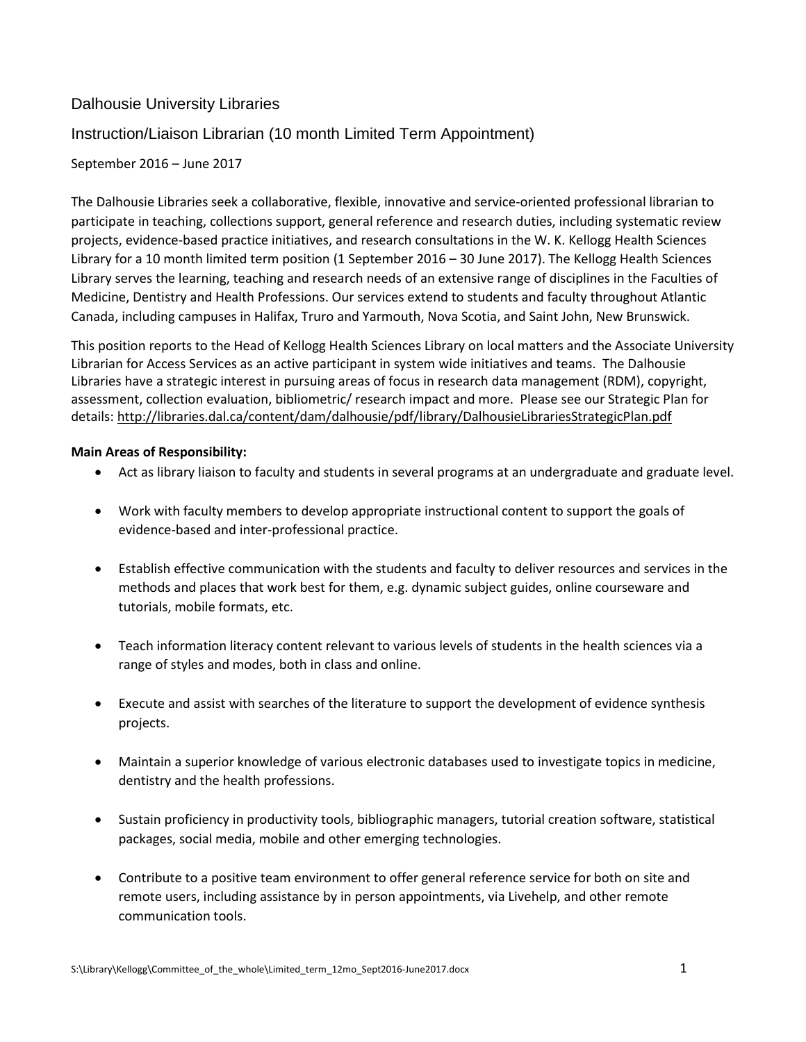# Dalhousie University Libraries

# Instruction/Liaison Librarian (10 month Limited Term Appointment)

# September 2016 – June 2017

The Dalhousie Libraries seek a collaborative, flexible, innovative and service-oriented professional librarian to participate in teaching, collections support, general reference and research duties, including systematic review projects, evidence-based practice initiatives, and research consultations in the W. K. Kellogg Health Sciences Library for a 10 month limited term position (1 September 2016 – 30 June 2017). The Kellogg Health Sciences Library serves the learning, teaching and research needs of an extensive range of disciplines in the Faculties of Medicine, Dentistry and Health Professions. Our services extend to students and faculty throughout Atlantic Canada, including campuses in Halifax, Truro and Yarmouth, Nova Scotia, and Saint John, New Brunswick.

This position reports to the Head of Kellogg Health Sciences Library on local matters and the Associate University Librarian for Access Services as an active participant in system wide initiatives and teams. The Dalhousie Libraries have a strategic interest in pursuing areas of focus in research data management (RDM), copyright, assessment, collection evaluation, bibliometric/ research impact and more. Please see our Strategic Plan for details: <http://libraries.dal.ca/content/dam/dalhousie/pdf/library/DalhousieLibrariesStrategicPlan.pdf>

## **Main Areas of Responsibility:**

- Act as library liaison to faculty and students in several programs at an undergraduate and graduate level.
- Work with faculty members to develop appropriate instructional content to support the goals of evidence-based and inter-professional practice.
- Establish effective communication with the students and faculty to deliver resources and services in the methods and places that work best for them, e.g. dynamic subject guides, online courseware and tutorials, mobile formats, etc.
- Teach information literacy content relevant to various levels of students in the health sciences via a range of styles and modes, both in class and online.
- Execute and assist with searches of the literature to support the development of evidence synthesis projects.
- Maintain a superior knowledge of various electronic databases used to investigate topics in medicine, dentistry and the health professions.
- Sustain proficiency in productivity tools, bibliographic managers, tutorial creation software, statistical packages, social media, mobile and other emerging technologies.
- Contribute to a positive team environment to offer general reference service for both on site and remote users, including assistance by in person appointments, via Livehelp, and other remote communication tools.